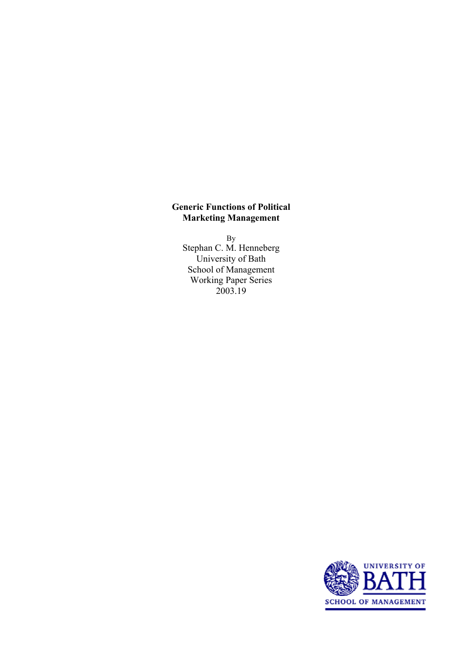#### **Generic Functions of Political Marketing Management**

By Stephan C. M. Henneberg University of Bath School of Management Working Paper Series 2003.19

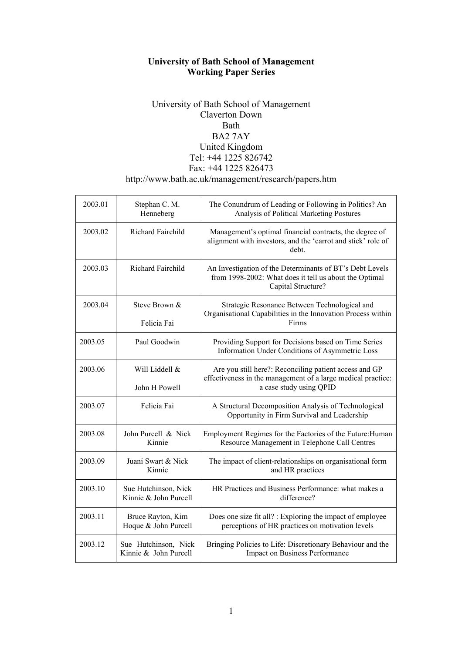# **University of Bath School of Management Working Paper Series**

# University of Bath School of Management Claverton Down Bath BA2 7AY United Kingdom Tel: +44 1225 826742 Fax: +44 1225 826473 http://www.bath.ac.uk/management/research/papers.htm

| 2003.01 | Stephan C. M.<br>Henneberg                    | The Conundrum of Leading or Following in Politics? An<br>Analysis of Political Marketing Postures                                                 |
|---------|-----------------------------------------------|---------------------------------------------------------------------------------------------------------------------------------------------------|
| 2003.02 | Richard Fairchild                             | Management's optimal financial contracts, the degree of<br>alignment with investors, and the 'carrot and stick' role of<br>debt.                  |
| 2003.03 | <b>Richard Fairchild</b>                      | An Investigation of the Determinants of BT's Debt Levels<br>from 1998-2002: What does it tell us about the Optimal<br>Capital Structure?          |
| 2003.04 | Steve Brown &<br>Felicia Fai                  | Strategic Resonance Between Technological and<br>Organisational Capabilities in the Innovation Process within<br>Firms                            |
| 2003.05 | Paul Goodwin                                  | Providing Support for Decisions based on Time Series<br>Information Under Conditions of Asymmetric Loss                                           |
| 2003.06 | Will Liddell &<br>John H Powell               | Are you still here?: Reconciling patient access and GP<br>effectiveness in the management of a large medical practice:<br>a case study using QPID |
| 2003.07 | Felicia Fai                                   | A Structural Decomposition Analysis of Technological<br>Opportunity in Firm Survival and Leadership                                               |
| 2003.08 | John Purcell & Nick<br>Kinnie                 | Employment Regimes for the Factories of the Future: Human<br>Resource Management in Telephone Call Centres                                        |
| 2003.09 | Juani Swart & Nick<br>Kinnie                  | The impact of client-relationships on organisational form<br>and HR practices                                                                     |
| 2003.10 | Sue Hutchinson, Nick<br>Kinnie & John Purcell | HR Practices and Business Performance: what makes a<br>difference?                                                                                |
| 2003.11 | Bruce Rayton, Kim<br>Hoque & John Purcell     | Does one size fit all? : Exploring the impact of employee<br>perceptions of HR practices on motivation levels                                     |
| 2003.12 | Sue Hutchinson, Nick<br>Kinnie & John Purcell | Bringing Policies to Life: Discretionary Behaviour and the<br>Impact on Business Performance                                                      |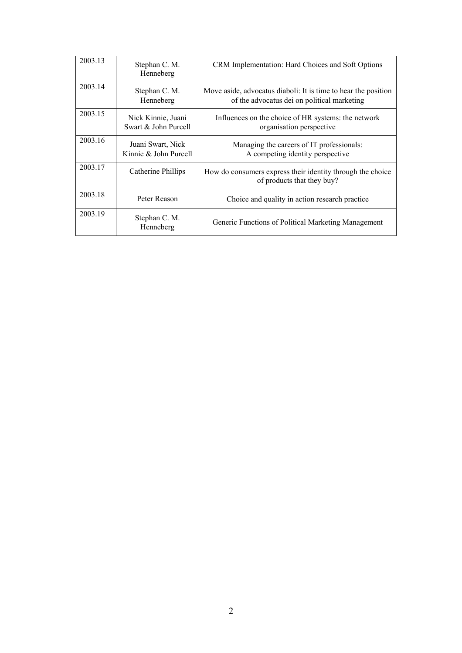| 2003.13 | Stephan C. M.<br>Henneberg                 | CRM Implementation: Hard Choices and Soft Options                                                             |
|---------|--------------------------------------------|---------------------------------------------------------------------------------------------------------------|
| 2003.14 | Stephan C. M.<br>Henneberg                 | Move aside, advocatus diaboli: It is time to hear the position<br>of the advocatus dei on political marketing |
| 2003.15 | Nick Kinnie, Juani<br>Swart & John Purcell | Influences on the choice of HR systems: the network<br>organisation perspective                               |
| 2003.16 | Juani Swart, Nick<br>Kinnie & John Purcell | Managing the careers of IT professionals:<br>A competing identity perspective                                 |
| 2003.17 | Catherine Phillips                         | How do consumers express their identity through the choice<br>of products that they buy?                      |
| 2003.18 | Peter Reason                               | Choice and quality in action research practice                                                                |
| 2003.19 | Stephan C. M.<br>Henneberg                 | Generic Functions of Political Marketing Management                                                           |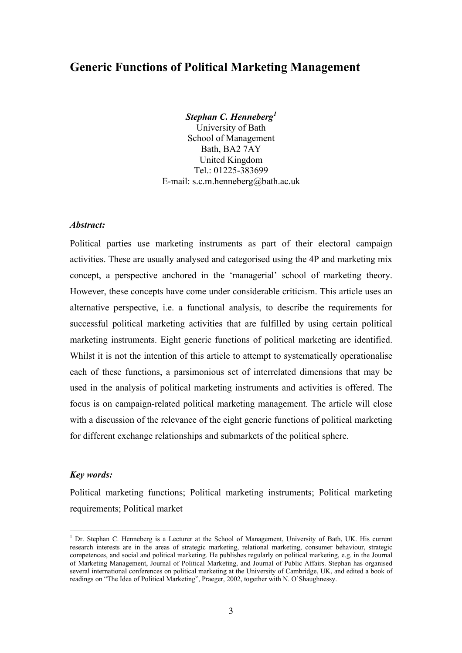# **Generic Functions of Political Marketing Management**

*Stephan C. Henneberg1*

University of Bath School of Management Bath, BA2 7AY United Kingdom  $Tel \cdot 01225 - 383699$ E-mail: s.c.m.henneberg@bath.ac.uk

#### *Abstract:*

Political parties use marketing instruments as part of their electoral campaign activities. These are usually analysed and categorised using the 4P and marketing mix concept, a perspective anchored in the 'managerial' school of marketing theory. However, these concepts have come under considerable criticism. This article uses an alternative perspective, i.e. a functional analysis, to describe the requirements for successful political marketing activities that are fulfilled by using certain political marketing instruments. Eight generic functions of political marketing are identified. Whilst it is not the intention of this article to attempt to systematically operationalise each of these functions, a parsimonious set of interrelated dimensions that may be used in the analysis of political marketing instruments and activities is offered. The focus is on campaign-related political marketing management. The article will close with a discussion of the relevance of the eight generic functions of political marketing for different exchange relationships and submarkets of the political sphere.

#### *Key words:*

 $\overline{a}$ 

Political marketing functions; Political marketing instruments; Political marketing requirements; Political market

<sup>&</sup>lt;sup>1</sup> Dr. Stephan C. Henneberg is a Lecturer at the School of Management, University of Bath, UK. His current research interests are in the areas of strategic marketing, relational marketing, consumer behaviour, strategic competences, and social and political marketing. He publishes regularly on political marketing, e.g. in the Journal of Marketing Management, Journal of Political Marketing, and Journal of Public Affairs. Stephan has organised several international conferences on political marketing at the University of Cambridge, UK, and edited a book of readings on "The Idea of Political Marketing", Praeger, 2002, together with N. O'Shaughnessy.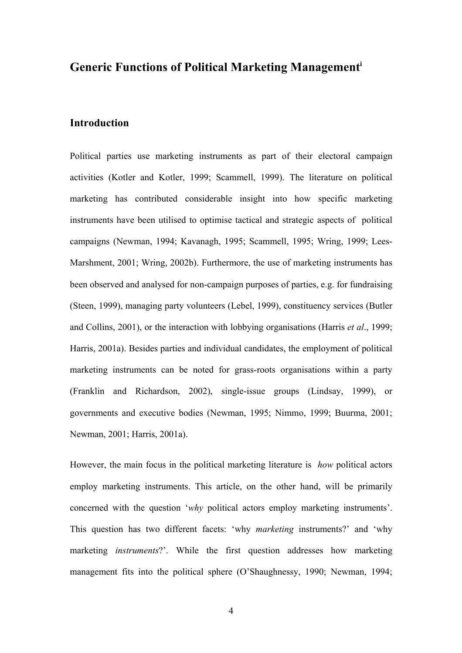# **Generic Functions of Political Marketing Managementi**

# **Introduction**

Political parties use marketing instruments as part of their electoral campaign activities (Kotler and Kotler, 1999; Scammell, 1999). The literature on political marketing has contributed considerable insight into how specific marketing instruments have been utilised to optimise tactical and strategic aspects of political campaigns (Newman, 1994; Kavanagh, 1995; Scammell, 1995; Wring, 1999; Lees-Marshment, 2001; Wring, 2002b). Furthermore, the use of marketing instruments has been observed and analysed for non-campaign purposes of parties, e.g. for fundraising (Steen, 1999), managing party volunteers (Lebel, 1999), constituency services (Butler and Collins, 2001), or the interaction with lobbying organisations (Harris *et al*., 1999; Harris, 2001a). Besides parties and individual candidates, the employment of political marketing instruments can be noted for grass-roots organisations within a party (Franklin and Richardson, 2002), single-issue groups (Lindsay, 1999), or governments and executive bodies (Newman, 1995; Nimmo, 1999; Buurma, 2001; Newman, 2001; Harris, 2001a).

However, the main focus in the political marketing literature is *how* political actors employ marketing instruments. This article, on the other hand, will be primarily concerned with the question '*why* political actors employ marketing instruments'. This question has two different facets: 'why *marketing* instruments?' and 'why marketing *instruments*?'. While the first question addresses how marketing management fits into the political sphere (O'Shaughnessy, 1990; Newman, 1994;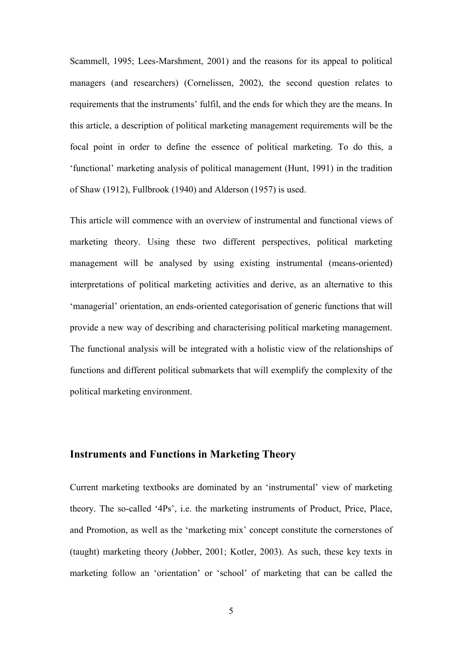Scammell, 1995; Lees-Marshment, 2001) and the reasons for its appeal to political managers (and researchers) (Cornelissen, 2002), the second question relates to requirements that the instruments' fulfil, and the ends for which they are the means. In this article, a description of political marketing management requirements will be the focal point in order to define the essence of political marketing. To do this, a 'functional' marketing analysis of political management (Hunt, 1991) in the tradition of Shaw (1912), Fullbrook (1940) and Alderson (1957) is used.

This article will commence with an overview of instrumental and functional views of marketing theory. Using these two different perspectives, political marketing management will be analysed by using existing instrumental (means-oriented) interpretations of political marketing activities and derive, as an alternative to this 'managerial' orientation, an ends-oriented categorisation of generic functions that will provide a new way of describing and characterising political marketing management. The functional analysis will be integrated with a holistic view of the relationships of functions and different political submarkets that will exemplify the complexity of the political marketing environment.

# **Instruments and Functions in Marketing Theory**

Current marketing textbooks are dominated by an 'instrumental' view of marketing theory. The so-called '4Ps', i.e. the marketing instruments of Product, Price, Place, and Promotion, as well as the 'marketing mix' concept constitute the cornerstones of (taught) marketing theory (Jobber, 2001; Kotler, 2003). As such, these key texts in marketing follow an 'orientation' or 'school' of marketing that can be called the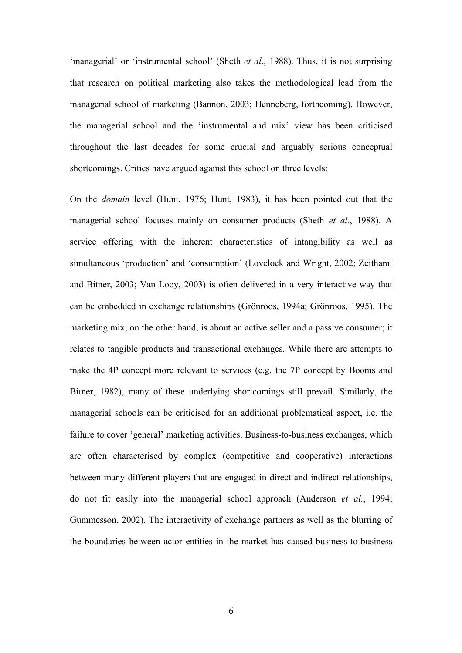'managerial' or 'instrumental school' (Sheth *et al*., 1988). Thus, it is not surprising that research on political marketing also takes the methodological lead from the managerial school of marketing (Bannon, 2003; Henneberg, forthcoming). However, the managerial school and the 'instrumental and mix' view has been criticised throughout the last decades for some crucial and arguably serious conceptual shortcomings. Critics have argued against this school on three levels:

On the *domain* level (Hunt, 1976; Hunt, 1983), it has been pointed out that the managerial school focuses mainly on consumer products (Sheth *et al.*, 1988). A service offering with the inherent characteristics of intangibility as well as simultaneous 'production' and 'consumption' (Lovelock and Wright, 2002; Zeithaml and Bitner, 2003; Van Looy, 2003) is often delivered in a very interactive way that can be embedded in exchange relationships (Grönroos, 1994a; Grönroos, 1995). The marketing mix, on the other hand, is about an active seller and a passive consumer; it relates to tangible products and transactional exchanges. While there are attempts to make the 4P concept more relevant to services (e.g. the 7P concept by Booms and Bitner, 1982), many of these underlying shortcomings still prevail. Similarly, the managerial schools can be criticised for an additional problematical aspect, i.e. the failure to cover 'general' marketing activities. Business-to-business exchanges, which are often characterised by complex (competitive and cooperative) interactions between many different players that are engaged in direct and indirect relationships, do not fit easily into the managerial school approach (Anderson *et al.*, 1994; Gummesson, 2002). The interactivity of exchange partners as well as the blurring of the boundaries between actor entities in the market has caused business-to-business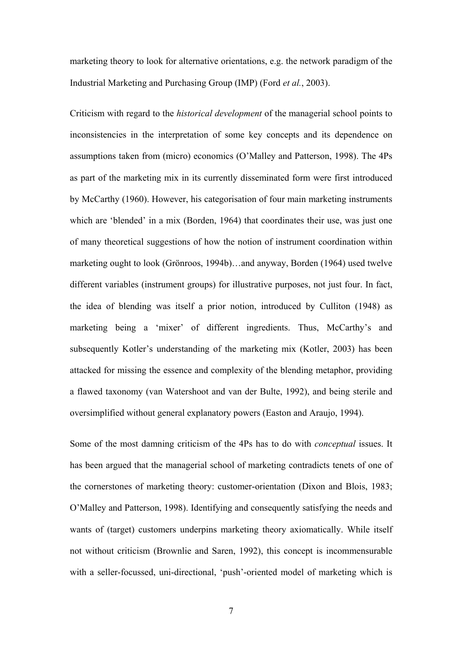marketing theory to look for alternative orientations, e.g. the network paradigm of the Industrial Marketing and Purchasing Group (IMP) (Ford *et al.*, 2003).

Criticism with regard to the *historical development* of the managerial school points to inconsistencies in the interpretation of some key concepts and its dependence on assumptions taken from (micro) economics (O'Malley and Patterson, 1998). The 4Ps as part of the marketing mix in its currently disseminated form were first introduced by McCarthy (1960). However, his categorisation of four main marketing instruments which are 'blended' in a mix (Borden, 1964) that coordinates their use, was just one of many theoretical suggestions of how the notion of instrument coordination within marketing ought to look (Grönroos, 1994b)…and anyway, Borden (1964) used twelve different variables (instrument groups) for illustrative purposes, not just four. In fact, the idea of blending was itself a prior notion, introduced by Culliton (1948) as marketing being a 'mixer' of different ingredients. Thus, McCarthy's and subsequently Kotler's understanding of the marketing mix (Kotler, 2003) has been attacked for missing the essence and complexity of the blending metaphor, providing a flawed taxonomy (van Watershoot and van der Bulte, 1992), and being sterile and oversimplified without general explanatory powers (Easton and Araujo, 1994).

Some of the most damning criticism of the 4Ps has to do with *conceptual* issues. It has been argued that the managerial school of marketing contradicts tenets of one of the cornerstones of marketing theory: customer-orientation (Dixon and Blois, 1983; O'Malley and Patterson, 1998). Identifying and consequently satisfying the needs and wants of (target) customers underpins marketing theory axiomatically. While itself not without criticism (Brownlie and Saren, 1992), this concept is incommensurable with a seller-focussed, uni-directional, 'push'-oriented model of marketing which is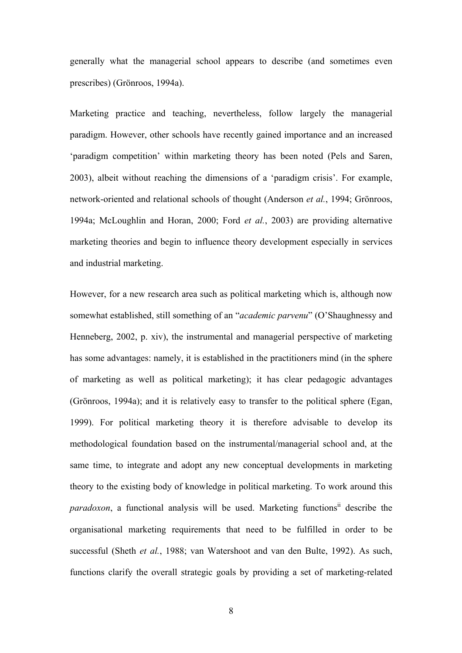generally what the managerial school appears to describe (and sometimes even prescribes) (Grönroos, 1994a).

Marketing practice and teaching, nevertheless, follow largely the managerial paradigm. However, other schools have recently gained importance and an increased 'paradigm competition' within marketing theory has been noted (Pels and Saren, 2003), albeit without reaching the dimensions of a 'paradigm crisis'. For example, network-oriented and relational schools of thought (Anderson *et al.*, 1994; Grönroos, 1994a; McLoughlin and Horan, 2000; Ford *et al.*, 2003) are providing alternative marketing theories and begin to influence theory development especially in services and industrial marketing.

However, for a new research area such as political marketing which is, although now somewhat established, still something of an "*academic parvenu*" (O'Shaughnessy and Henneberg, 2002, p. xiv), the instrumental and managerial perspective of marketing has some advantages: namely, it is established in the practitioners mind (in the sphere of marketing as well as political marketing); it has clear pedagogic advantages (Grönroos, 1994a); and it is relatively easy to transfer to the political sphere (Egan, 1999). For political marketing theory it is therefore advisable to develop its methodological foundation based on the instrumental/managerial school and, at the same time, to integrate and adopt any new conceptual developments in marketing theory to the existing body of knowledge in political marketing. To work around this *paradoxon*, a functional analysis will be used. Marketing functions<sup>ii</sup> describe the organisational marketing requirements that need to be fulfilled in order to be successful (Sheth *et al.*, 1988; van Watershoot and van den Bulte, 1992). As such, functions clarify the overall strategic goals by providing a set of marketing-related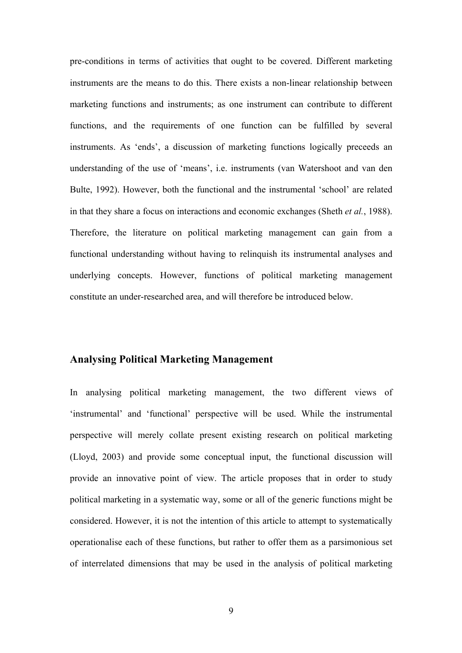pre-conditions in terms of activities that ought to be covered. Different marketing instruments are the means to do this. There exists a non-linear relationship between marketing functions and instruments; as one instrument can contribute to different functions, and the requirements of one function can be fulfilled by several instruments. As 'ends', a discussion of marketing functions logically preceeds an understanding of the use of 'means', i.e. instruments (van Watershoot and van den Bulte, 1992). However, both the functional and the instrumental 'school' are related in that they share a focus on interactions and economic exchanges (Sheth *et al.*, 1988). Therefore, the literature on political marketing management can gain from a functional understanding without having to relinquish its instrumental analyses and underlying concepts. However, functions of political marketing management constitute an under-researched area, and will therefore be introduced below.

#### **Analysing Political Marketing Management**

In analysing political marketing management, the two different views of 'instrumental' and 'functional' perspective will be used. While the instrumental perspective will merely collate present existing research on political marketing (Lloyd, 2003) and provide some conceptual input, the functional discussion will provide an innovative point of view. The article proposes that in order to study political marketing in a systematic way, some or all of the generic functions might be considered. However, it is not the intention of this article to attempt to systematically operationalise each of these functions, but rather to offer them as a parsimonious set of interrelated dimensions that may be used in the analysis of political marketing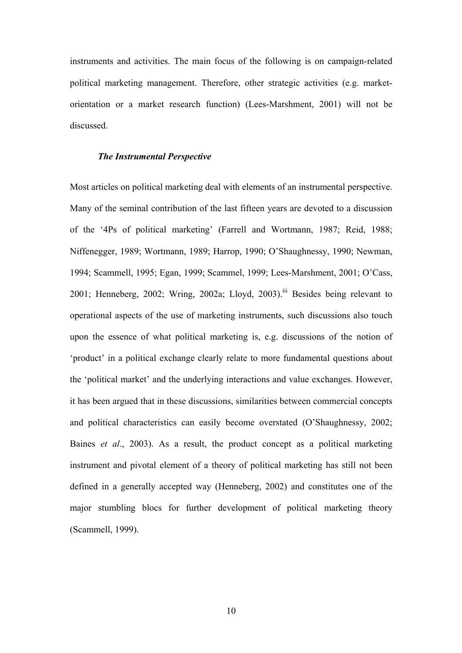instruments and activities. The main focus of the following is on campaign-related political marketing management. Therefore, other strategic activities (e.g. marketorientation or a market research function) (Lees-Marshment, 2001) will not be discussed.

#### *The Instrumental Perspective*

Most articles on political marketing deal with elements of an instrumental perspective. Many of the seminal contribution of the last fifteen years are devoted to a discussion of the '4Ps of political marketing' (Farrell and Wortmann, 1987; Reid, 1988; Niffenegger, 1989; Wortmann, 1989; Harrop, 1990; O'Shaughnessy, 1990; Newman, 1994; Scammell, 1995; Egan, 1999; Scammel, 1999; Lees-Marshment, 2001; O'Cass, 2001; Henneberg, 2002; Wring, 2002a; Lloyd, 2003).<sup>iii</sup> Besides being relevant to operational aspects of the use of marketing instruments, such discussions also touch upon the essence of what political marketing is, e.g. discussions of the notion of 'product' in a political exchange clearly relate to more fundamental questions about the 'political market' and the underlying interactions and value exchanges. However, it has been argued that in these discussions, similarities between commercial concepts and political characteristics can easily become overstated (O'Shaughnessy, 2002; Baines *et al*., 2003). As a result, the product concept as a political marketing instrument and pivotal element of a theory of political marketing has still not been defined in a generally accepted way (Henneberg, 2002) and constitutes one of the major stumbling blocs for further development of political marketing theory (Scammell, 1999).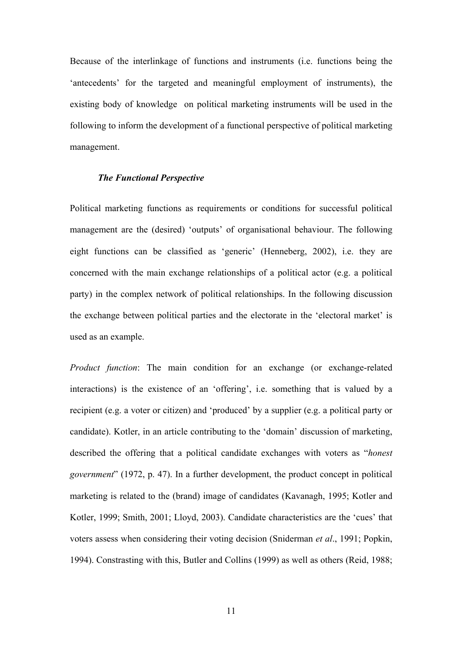Because of the interlinkage of functions and instruments (i.e. functions being the 'antecedents' for the targeted and meaningful employment of instruments), the existing body of knowledge on political marketing instruments will be used in the following to inform the development of a functional perspective of political marketing management.

#### *The Functional Perspective*

Political marketing functions as requirements or conditions for successful political management are the (desired) 'outputs' of organisational behaviour. The following eight functions can be classified as 'generic' (Henneberg, 2002), i.e. they are concerned with the main exchange relationships of a political actor (e.g. a political party) in the complex network of political relationships. In the following discussion the exchange between political parties and the electorate in the 'electoral market' is used as an example.

*Product function*: The main condition for an exchange (or exchange-related interactions) is the existence of an 'offering', i.e. something that is valued by a recipient (e.g. a voter or citizen) and 'produced' by a supplier (e.g. a political party or candidate). Kotler, in an article contributing to the 'domain' discussion of marketing, described the offering that a political candidate exchanges with voters as "*honest government*" (1972, p. 47). In a further development, the product concept in political marketing is related to the (brand) image of candidates (Kavanagh, 1995; Kotler and Kotler, 1999; Smith, 2001; Lloyd, 2003). Candidate characteristics are the 'cues' that voters assess when considering their voting decision (Sniderman *et al*., 1991; Popkin, 1994). Constrasting with this, Butler and Collins (1999) as well as others (Reid, 1988;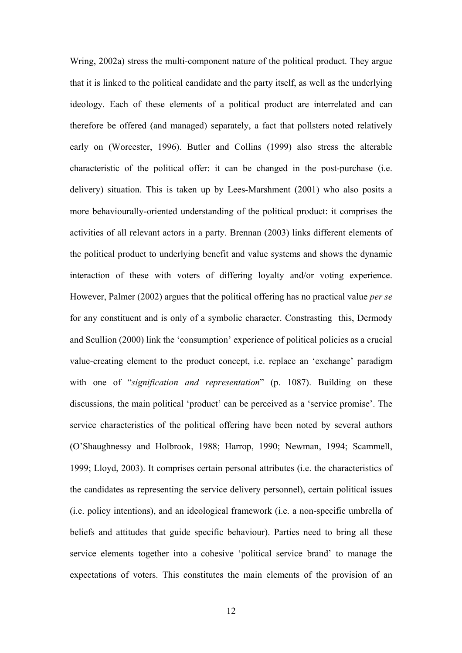Wring, 2002a) stress the multi-component nature of the political product. They argue that it is linked to the political candidate and the party itself, as well as the underlying ideology. Each of these elements of a political product are interrelated and can therefore be offered (and managed) separately, a fact that pollsters noted relatively early on (Worcester, 1996). Butler and Collins (1999) also stress the alterable characteristic of the political offer: it can be changed in the post-purchase (i.e. delivery) situation. This is taken up by Lees-Marshment (2001) who also posits a more behaviourally-oriented understanding of the political product: it comprises the activities of all relevant actors in a party. Brennan (2003) links different elements of the political product to underlying benefit and value systems and shows the dynamic interaction of these with voters of differing loyalty and/or voting experience. However, Palmer (2002) argues that the political offering has no practical value *per se* for any constituent and is only of a symbolic character. Constrasting this, Dermody and Scullion (2000) link the 'consumption' experience of political policies as a crucial value-creating element to the product concept, i.e. replace an 'exchange' paradigm with one of "*signification and representation*" (p. 1087). Building on these discussions, the main political 'product' can be perceived as a 'service promise'. The service characteristics of the political offering have been noted by several authors (O'Shaughnessy and Holbrook, 1988; Harrop, 1990; Newman, 1994; Scammell, 1999; Lloyd, 2003). It comprises certain personal attributes (i.e. the characteristics of the candidates as representing the service delivery personnel), certain political issues (i.e. policy intentions), and an ideological framework (i.e. a non-specific umbrella of beliefs and attitudes that guide specific behaviour). Parties need to bring all these service elements together into a cohesive 'political service brand' to manage the expectations of voters. This constitutes the main elements of the provision of an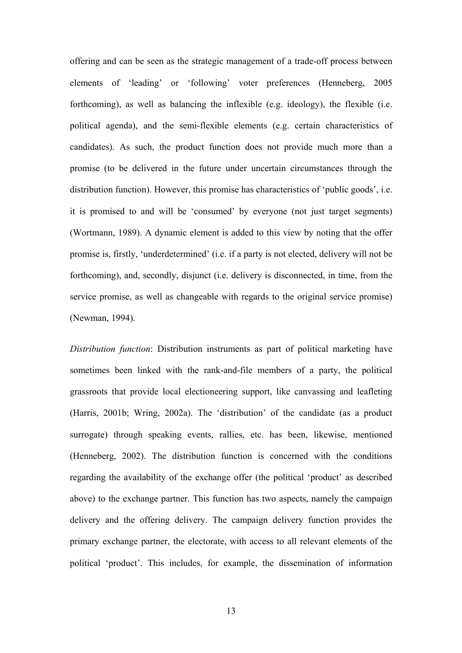offering and can be seen as the strategic management of a trade-off process between elements of 'leading' or 'following' voter preferences (Henneberg, 2005 forthcoming), as well as balancing the inflexible (e.g. ideology), the flexible (i.e. political agenda), and the semi-flexible elements (e.g. certain characteristics of candidates). As such, the product function does not provide much more than a promise (to be delivered in the future under uncertain circumstances through the distribution function). However, this promise has characteristics of 'public goods', i.e. it is promised to and will be 'consumed' by everyone (not just target segments) (Wortmann, 1989). A dynamic element is added to this view by noting that the offer promise is, firstly, 'underdetermined' (i.e. if a party is not elected, delivery will not be forthcoming), and, secondly, disjunct (i.e. delivery is disconnected, in time, from the service promise, as well as changeable with regards to the original service promise) (Newman, 1994).

*Distribution function*: Distribution instruments as part of political marketing have sometimes been linked with the rank-and-file members of a party, the political grassroots that provide local electioneering support, like canvassing and leafleting (Harris, 2001b; Wring, 2002a). The 'distribution' of the candidate (as a product surrogate) through speaking events, rallies, etc. has been, likewise, mentioned (Henneberg, 2002). The distribution function is concerned with the conditions regarding the availability of the exchange offer (the political 'product' as described above) to the exchange partner. This function has two aspects, namely the campaign delivery and the offering delivery. The campaign delivery function provides the primary exchange partner, the electorate, with access to all relevant elements of the political 'product'. This includes, for example, the dissemination of information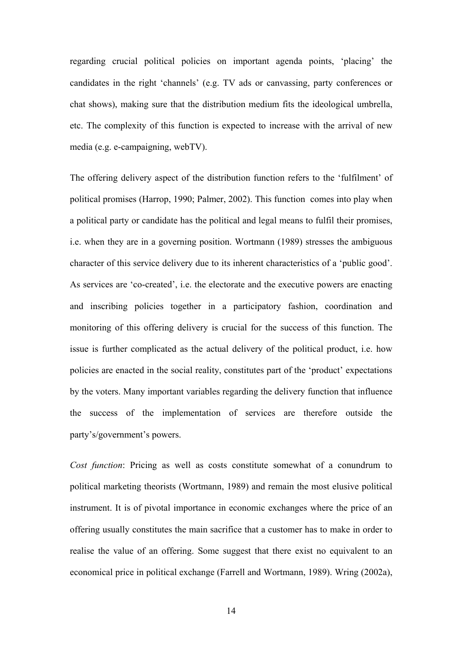regarding crucial political policies on important agenda points, 'placing' the candidates in the right 'channels' (e.g. TV ads or canvassing, party conferences or chat shows), making sure that the distribution medium fits the ideological umbrella, etc. The complexity of this function is expected to increase with the arrival of new media (e.g. e-campaigning, webTV).

The offering delivery aspect of the distribution function refers to the 'fulfilment' of political promises (Harrop, 1990; Palmer, 2002). This function comes into play when a political party or candidate has the political and legal means to fulfil their promises, i.e. when they are in a governing position. Wortmann (1989) stresses the ambiguous character of this service delivery due to its inherent characteristics of a 'public good'. As services are 'co-created', i.e. the electorate and the executive powers are enacting and inscribing policies together in a participatory fashion, coordination and monitoring of this offering delivery is crucial for the success of this function. The issue is further complicated as the actual delivery of the political product, i.e. how policies are enacted in the social reality, constitutes part of the 'product' expectations by the voters. Many important variables regarding the delivery function that influence the success of the implementation of services are therefore outside the party's/government's powers.

*Cost function*: Pricing as well as costs constitute somewhat of a conundrum to political marketing theorists (Wortmann, 1989) and remain the most elusive political instrument. It is of pivotal importance in economic exchanges where the price of an offering usually constitutes the main sacrifice that a customer has to make in order to realise the value of an offering. Some suggest that there exist no equivalent to an economical price in political exchange (Farrell and Wortmann, 1989). Wring (2002a),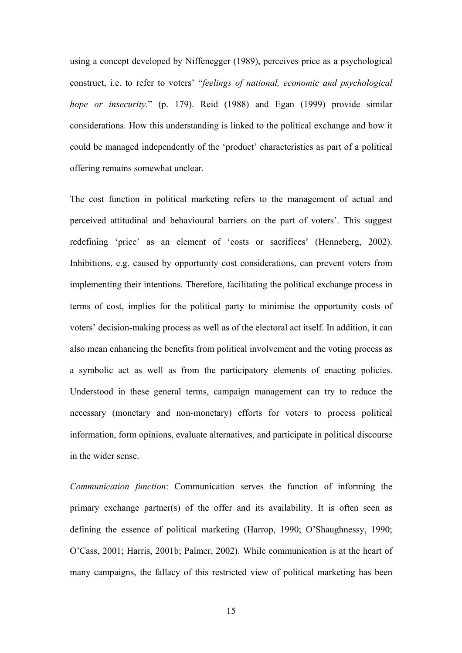using a concept developed by Niffenegger (1989), perceives price as a psychological construct, i.e. to refer to voters' "*feelings of national, economic and psychological hope or insecurity.*" (p. 179). Reid (1988) and Egan (1999) provide similar considerations. How this understanding is linked to the political exchange and how it could be managed independently of the 'product' characteristics as part of a political offering remains somewhat unclear.

The cost function in political marketing refers to the management of actual and perceived attitudinal and behavioural barriers on the part of voters'. This suggest redefining 'price' as an element of 'costs or sacrifices' (Henneberg, 2002). Inhibitions, e.g. caused by opportunity cost considerations, can prevent voters from implementing their intentions. Therefore, facilitating the political exchange process in terms of cost, implies for the political party to minimise the opportunity costs of voters' decision-making process as well as of the electoral act itself. In addition, it can also mean enhancing the benefits from political involvement and the voting process as a symbolic act as well as from the participatory elements of enacting policies. Understood in these general terms, campaign management can try to reduce the necessary (monetary and non-monetary) efforts for voters to process political information, form opinions, evaluate alternatives, and participate in political discourse in the wider sense.

*Communication function*: Communication serves the function of informing the primary exchange partner(s) of the offer and its availability. It is often seen as defining the essence of political marketing (Harrop, 1990; O'Shaughnessy, 1990; O'Cass, 2001; Harris, 2001b; Palmer, 2002). While communication is at the heart of many campaigns, the fallacy of this restricted view of political marketing has been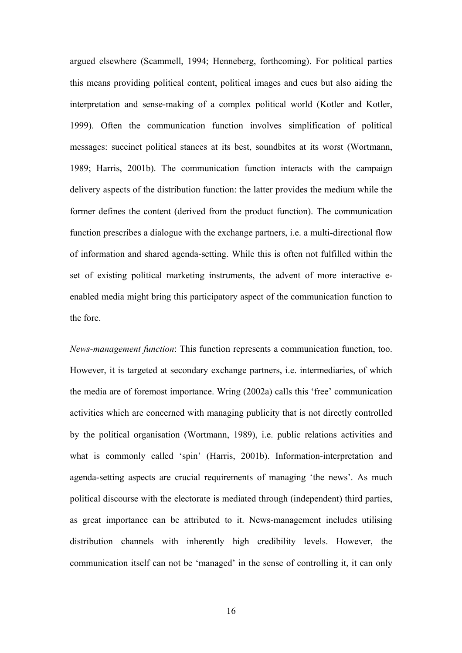argued elsewhere (Scammell, 1994; Henneberg, forthcoming). For political parties this means providing political content, political images and cues but also aiding the interpretation and sense-making of a complex political world (Kotler and Kotler, 1999). Often the communication function involves simplification of political messages: succinct political stances at its best, soundbites at its worst (Wortmann, 1989; Harris, 2001b). The communication function interacts with the campaign delivery aspects of the distribution function: the latter provides the medium while the former defines the content (derived from the product function). The communication function prescribes a dialogue with the exchange partners, i.e. a multi-directional flow of information and shared agenda-setting. While this is often not fulfilled within the set of existing political marketing instruments, the advent of more interactive eenabled media might bring this participatory aspect of the communication function to the fore.

*News-management function*: This function represents a communication function, too. However, it is targeted at secondary exchange partners, i.e. intermediaries, of which the media are of foremost importance. Wring (2002a) calls this 'free' communication activities which are concerned with managing publicity that is not directly controlled by the political organisation (Wortmann, 1989), i.e. public relations activities and what is commonly called 'spin' (Harris, 2001b). Information-interpretation and agenda-setting aspects are crucial requirements of managing 'the news'. As much political discourse with the electorate is mediated through (independent) third parties, as great importance can be attributed to it. News-management includes utilising distribution channels with inherently high credibility levels. However, the communication itself can not be 'managed' in the sense of controlling it, it can only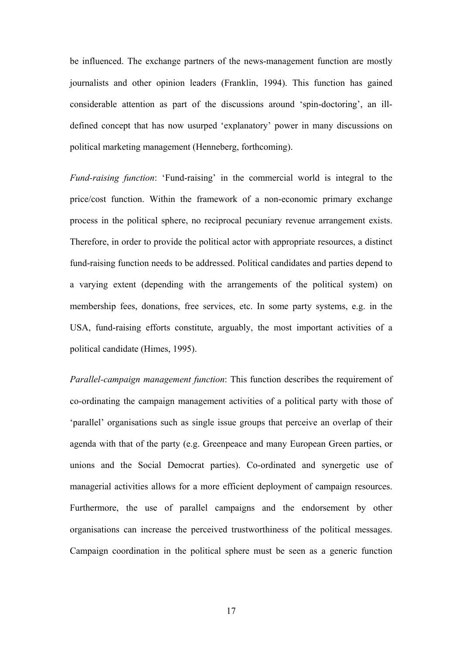be influenced. The exchange partners of the news-management function are mostly journalists and other opinion leaders (Franklin, 1994). This function has gained considerable attention as part of the discussions around 'spin-doctoring', an illdefined concept that has now usurped 'explanatory' power in many discussions on political marketing management (Henneberg, forthcoming).

*Fund-raising function*: 'Fund-raising' in the commercial world is integral to the price/cost function. Within the framework of a non-economic primary exchange process in the political sphere, no reciprocal pecuniary revenue arrangement exists. Therefore, in order to provide the political actor with appropriate resources, a distinct fund-raising function needs to be addressed. Political candidates and parties depend to a varying extent (depending with the arrangements of the political system) on membership fees, donations, free services, etc. In some party systems, e.g. in the USA, fund-raising efforts constitute, arguably, the most important activities of a political candidate (Himes, 1995).

*Parallel-campaign management function*: This function describes the requirement of co-ordinating the campaign management activities of a political party with those of 'parallel' organisations such as single issue groups that perceive an overlap of their agenda with that of the party (e.g. Greenpeace and many European Green parties, or unions and the Social Democrat parties). Co-ordinated and synergetic use of managerial activities allows for a more efficient deployment of campaign resources. Furthermore, the use of parallel campaigns and the endorsement by other organisations can increase the perceived trustworthiness of the political messages. Campaign coordination in the political sphere must be seen as a generic function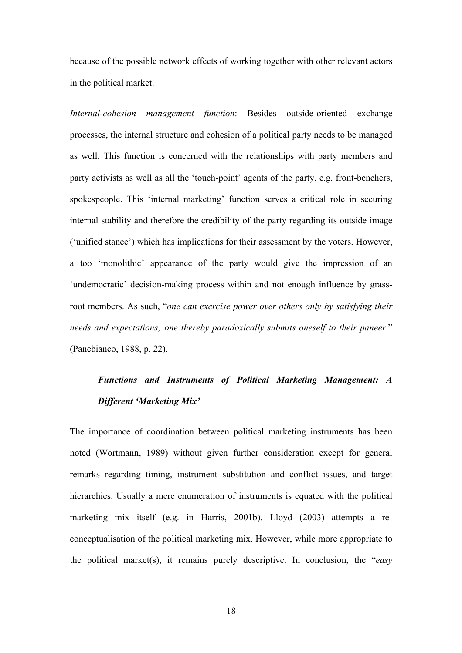because of the possible network effects of working together with other relevant actors in the political market.

*Internal-cohesion management function*: Besides outside-oriented exchange processes, the internal structure and cohesion of a political party needs to be managed as well. This function is concerned with the relationships with party members and party activists as well as all the 'touch-point' agents of the party, e.g. front-benchers, spokespeople. This 'internal marketing' function serves a critical role in securing internal stability and therefore the credibility of the party regarding its outside image ('unified stance') which has implications for their assessment by the voters. However, a too 'monolithic' appearance of the party would give the impression of an 'undemocratic' decision-making process within and not enough influence by grassroot members. As such, "*one can exercise power over others only by satisfying their needs and expectations; one thereby paradoxically submits oneself to their paneer*." (Panebianco, 1988, p. 22).

# *Functions and Instruments of Political Marketing Management: A Different 'Marketing Mix'*

The importance of coordination between political marketing instruments has been noted (Wortmann, 1989) without given further consideration except for general remarks regarding timing, instrument substitution and conflict issues, and target hierarchies. Usually a mere enumeration of instruments is equated with the political marketing mix itself (e.g. in Harris, 2001b). Lloyd (2003) attempts a reconceptualisation of the political marketing mix. However, while more appropriate to the political market(s), it remains purely descriptive. In conclusion, the "*easy*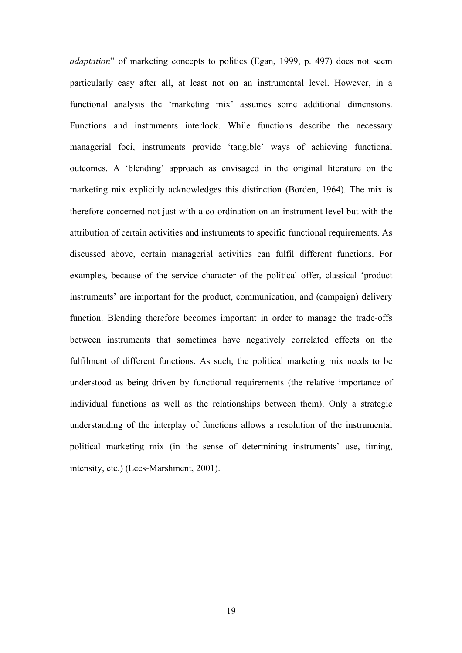*adaptation*" of marketing concepts to politics (Egan, 1999, p. 497) does not seem particularly easy after all, at least not on an instrumental level. However, in a functional analysis the 'marketing mix' assumes some additional dimensions. Functions and instruments interlock. While functions describe the necessary managerial foci, instruments provide 'tangible' ways of achieving functional outcomes. A 'blending' approach as envisaged in the original literature on the marketing mix explicitly acknowledges this distinction (Borden, 1964). The mix is therefore concerned not just with a co-ordination on an instrument level but with the attribution of certain activities and instruments to specific functional requirements. As discussed above, certain managerial activities can fulfil different functions. For examples, because of the service character of the political offer, classical 'product instruments' are important for the product, communication, and (campaign) delivery function. Blending therefore becomes important in order to manage the trade-offs between instruments that sometimes have negatively correlated effects on the fulfilment of different functions. As such, the political marketing mix needs to be understood as being driven by functional requirements (the relative importance of individual functions as well as the relationships between them). Only a strategic understanding of the interplay of functions allows a resolution of the instrumental political marketing mix (in the sense of determining instruments' use, timing, intensity, etc.) (Lees-Marshment, 2001).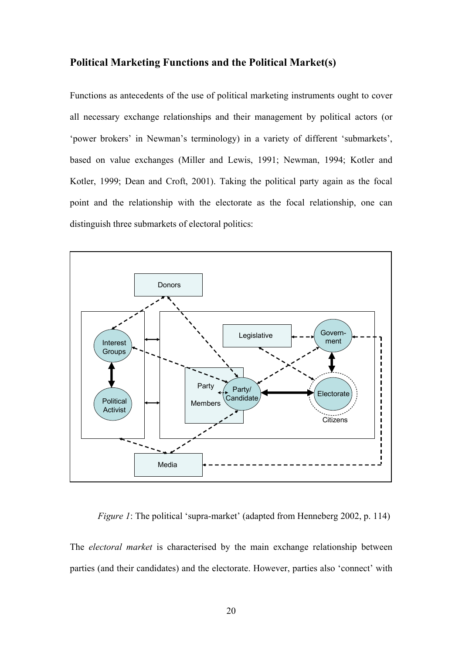# **Political Marketing Functions and the Political Market(s)**

Functions as antecedents of the use of political marketing instruments ought to cover all necessary exchange relationships and their management by political actors (or 'power brokers' in Newman's terminology) in a variety of different 'submarkets', based on value exchanges (Miller and Lewis, 1991; Newman, 1994; Kotler and Kotler, 1999; Dean and Croft, 2001). Taking the political party again as the focal point and the relationship with the electorate as the focal relationship, one can distinguish three submarkets of electoral politics:



*Figure 1*: The political 'supra-market' (adapted from Henneberg 2002, p. 114)

The *electoral market* is characterised by the main exchange relationship between parties (and their candidates) and the electorate. However, parties also 'connect' with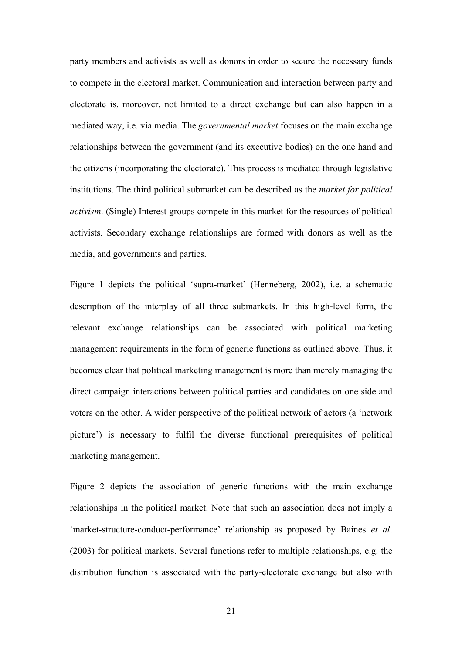party members and activists as well as donors in order to secure the necessary funds to compete in the electoral market. Communication and interaction between party and electorate is, moreover, not limited to a direct exchange but can also happen in a mediated way, i.e. via media. The *governmental market* focuses on the main exchange relationships between the government (and its executive bodies) on the one hand and the citizens (incorporating the electorate). This process is mediated through legislative institutions. The third political submarket can be described as the *market for political activism*. (Single) Interest groups compete in this market for the resources of political activists. Secondary exchange relationships are formed with donors as well as the media, and governments and parties.

Figure 1 depicts the political 'supra-market' (Henneberg, 2002), i.e. a schematic description of the interplay of all three submarkets. In this high-level form, the relevant exchange relationships can be associated with political marketing management requirements in the form of generic functions as outlined above. Thus, it becomes clear that political marketing management is more than merely managing the direct campaign interactions between political parties and candidates on one side and voters on the other. A wider perspective of the political network of actors (a 'network picture') is necessary to fulfil the diverse functional prerequisites of political marketing management.

Figure 2 depicts the association of generic functions with the main exchange relationships in the political market. Note that such an association does not imply a 'market-structure-conduct-performance' relationship as proposed by Baines *et al*. (2003) for political markets. Several functions refer to multiple relationships, e.g. the distribution function is associated with the party-electorate exchange but also with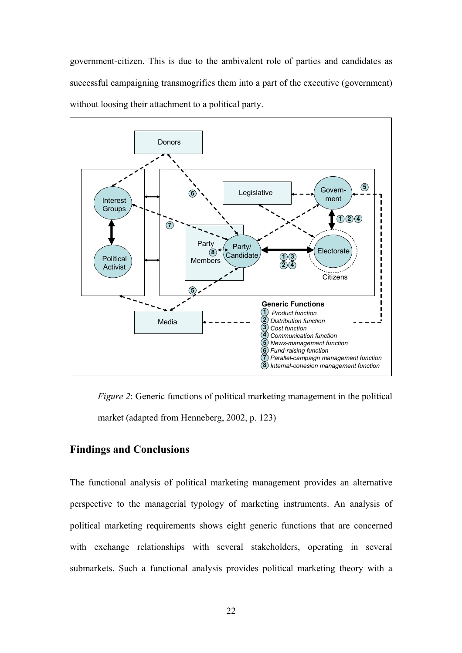government-citizen. This is due to the ambivalent role of parties and candidates as successful campaigning transmogrifies them into a part of the executive (government) without loosing their attachment to a political party.



*Figure 2*: Generic functions of political marketing management in the political market (adapted from Henneberg, 2002, p. 123)

## **Findings and Conclusions**

The functional analysis of political marketing management provides an alternative perspective to the managerial typology of marketing instruments. An analysis of political marketing requirements shows eight generic functions that are concerned with exchange relationships with several stakeholders, operating in several submarkets. Such a functional analysis provides political marketing theory with a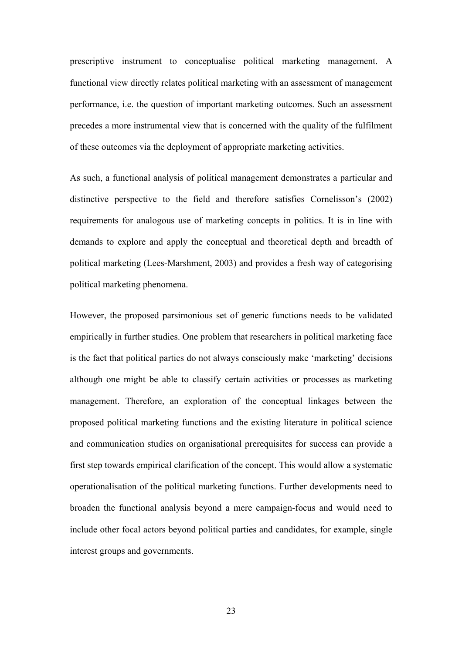prescriptive instrument to conceptualise political marketing management. A functional view directly relates political marketing with an assessment of management performance, i.e. the question of important marketing outcomes. Such an assessment precedes a more instrumental view that is concerned with the quality of the fulfilment of these outcomes via the deployment of appropriate marketing activities.

As such, a functional analysis of political management demonstrates a particular and distinctive perspective to the field and therefore satisfies Cornelisson's (2002) requirements for analogous use of marketing concepts in politics. It is in line with demands to explore and apply the conceptual and theoretical depth and breadth of political marketing (Lees-Marshment, 2003) and provides a fresh way of categorising political marketing phenomena.

However, the proposed parsimonious set of generic functions needs to be validated empirically in further studies. One problem that researchers in political marketing face is the fact that political parties do not always consciously make 'marketing' decisions although one might be able to classify certain activities or processes as marketing management. Therefore, an exploration of the conceptual linkages between the proposed political marketing functions and the existing literature in political science and communication studies on organisational prerequisites for success can provide a first step towards empirical clarification of the concept. This would allow a systematic operationalisation of the political marketing functions. Further developments need to broaden the functional analysis beyond a mere campaign-focus and would need to include other focal actors beyond political parties and candidates, for example, single interest groups and governments.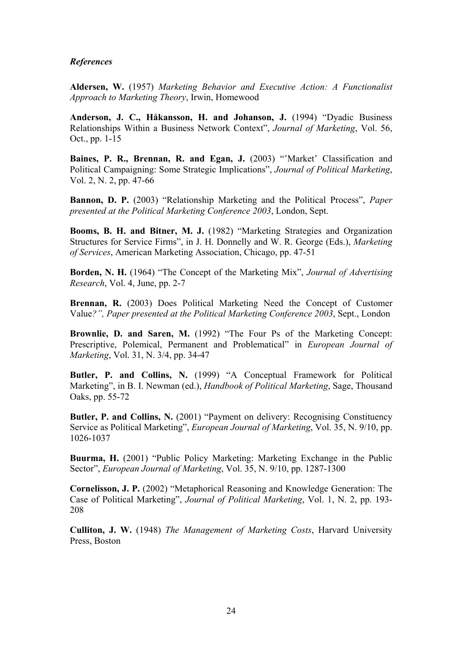#### *References*

**Aldersen, W.** (1957) *Marketing Behavior and Executive Action: A Functionalist Approach to Marketing Theory*, Irwin, Homewood

**Anderson, J. C., Håkansson, H. and Johanson, J.** (1994) "Dyadic Business Relationships Within a Business Network Context", *Journal of Marketing*, Vol. 56, Oct., pp. 1-15

Baines, P. R., Brennan, R. and Egan, J. (2003) "'Market' Classification and Political Campaigning: Some Strategic Implications", *Journal of Political Marketing*, Vol. 2, N. 2, pp. 47-66

**Bannon, D. P.** (2003) "Relationship Marketing and the Political Process", *Paper presented at the Political Marketing Conference 2003*, London, Sept.

**Booms, B. H. and Bitner, M. J.** (1982) "Marketing Strategies and Organization Structures for Service Firms", in J. H. Donnelly and W. R. George (Eds.), *Marketing of Services*, American Marketing Association, Chicago, pp. 47-51

**Borden, N. H.** (1964) "The Concept of the Marketing Mix", *Journal of Advertising Research*, Vol. 4, June, pp. 2-7

**Brennan, R.** (2003) Does Political Marketing Need the Concept of Customer Value*?", Paper presented at the Political Marketing Conference 2003*, Sept., London

Brownlie, D. and Saren, M. (1992) "The Four Ps of the Marketing Concept: Prescriptive, Polemical, Permanent and Problematical" in *European Journal of Marketing*, Vol. 31, N. 3/4, pp. 34-47

Butler, P. and Collins, N. (1999) "A Conceptual Framework for Political Marketing", in B. I. Newman (ed.), *Handbook of Political Marketing*, Sage, Thousand Oaks, pp. 55-72

**Butler, P. and Collins, N.** (2001) "Payment on delivery: Recognising Constituency Service as Political Marketing", *European Journal of Marketing*, Vol. 35, N. 9/10, pp. 1026-1037

**Buurma, H.** (2001) "Public Policy Marketing: Marketing Exchange in the Public Sector", *European Journal of Marketing*, Vol. 35, N. 9/10, pp. 1287-1300

**Cornelisson, J. P.** (2002) "Metaphorical Reasoning and Knowledge Generation: The Case of Political Marketing", *Journal of Political Marketing*, Vol. 1, N. 2, pp. 193- 208

**Culliton, J. W.** (1948) *The Management of Marketing Costs*, Harvard University Press, Boston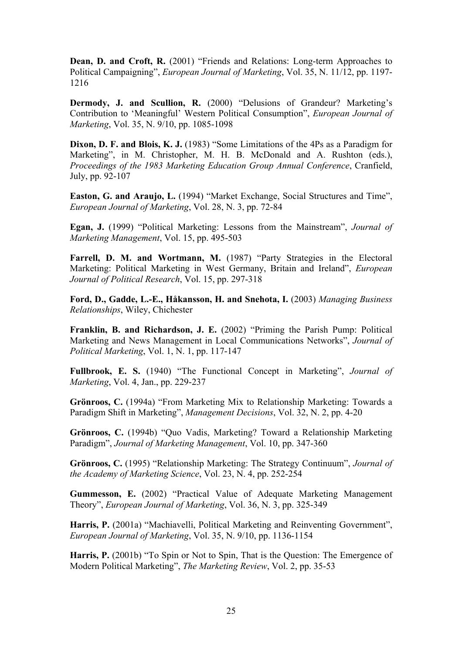**Dean, D. and Croft, R.** (2001) "Friends and Relations: Long-term Approaches to Political Campaigning", *European Journal of Marketing*, Vol. 35, N. 11/12, pp. 1197- 1216

**Dermody, J. and Scullion, R.** (2000) "Delusions of Grandeur? Marketing's Contribution to 'Meaningful' Western Political Consumption", *European Journal of Marketing*, Vol. 35, N. 9/10, pp. 1085-1098

**Dixon, D. F. and Blois, K. J.** (1983) "Some Limitations of the 4Ps as a Paradigm for Marketing", in M. Christopher, M. H. B. McDonald and A. Rushton (eds.), *Proceedings of the 1983 Marketing Education Group Annual Conference*, Cranfield, July, pp. 92-107

**Easton, G. and Araujo, L.** (1994) "Market Exchange, Social Structures and Time", *European Journal of Marketing*, Vol. 28, N. 3, pp. 72-84

**Egan, J.** (1999) "Political Marketing: Lessons from the Mainstream", *Journal of Marketing Management*, Vol. 15, pp. 495-503

Farrell, D. M. and Wortmann, M. (1987) "Party Strategies in the Electoral Marketing: Political Marketing in West Germany, Britain and Ireland", *European Journal of Political Research*, Vol. 15, pp. 297-318

**Ford, D., Gadde, L.-E., Håkansson, H. and Snehota, I.** (2003) *Managing Business Relationships*, Wiley, Chichester

**Franklin, B. and Richardson, J. E.** (2002) "Priming the Parish Pump: Political Marketing and News Management in Local Communications Networks", *Journal of Political Marketing*, Vol. 1, N. 1, pp. 117-147

**Fullbrook, E. S.** (1940) "The Functional Concept in Marketing", *Journal of Marketing*, Vol. 4, Jan., pp. 229-237

**Grönroos, C.** (1994a) "From Marketing Mix to Relationship Marketing: Towards a Paradigm Shift in Marketing", *Management Decisions*, Vol. 32, N. 2, pp. 4-20

**Grönroos, C.** (1994b) "Quo Vadis, Marketing? Toward a Relationship Marketing Paradigm", *Journal of Marketing Management*, Vol. 10, pp. 347-360

**Grönroos, C.** (1995) "Relationship Marketing: The Strategy Continuum", *Journal of the Academy of Marketing Science*, Vol. 23, N. 4, pp. 252-254

**Gummesson, E.** (2002) "Practical Value of Adequate Marketing Management Theory", *European Journal of Marketing*, Vol. 36, N. 3, pp. 325-349

Harris, P. (2001a) "Machiavelli, Political Marketing and Reinventing Government", *European Journal of Marketing*, Vol. 35, N. 9/10, pp. 1136-1154

**Harris, P.** (2001b) "To Spin or Not to Spin, That is the Question: The Emergence of Modern Political Marketing", *The Marketing Review*, Vol. 2, pp. 35-53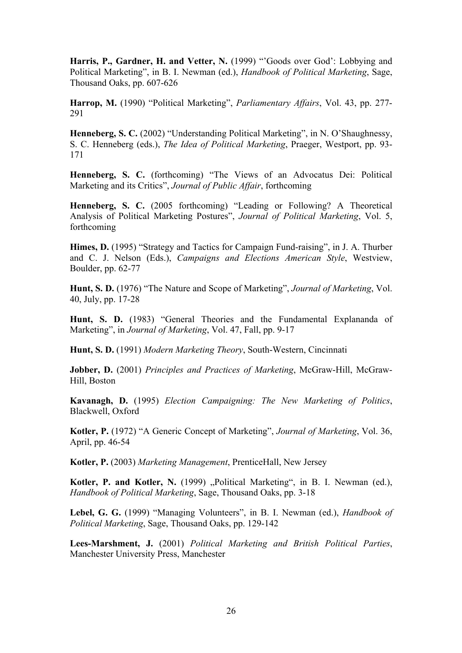Harris, P., Gardner, H. and Vetter, N. (1999) "'Goods over God': Lobbying and Political Marketing", in B. I. Newman (ed.), *Handbook of Political Marketing*, Sage, Thousand Oaks, pp. 607-626

**Harrop, M.** (1990) "Political Marketing", *Parliamentary Affairs*, Vol. 43, pp. 277- 291

**Henneberg, S. C.** (2002) "Understanding Political Marketing", in N. O'Shaughnessy, S. C. Henneberg (eds.), *The Idea of Political Marketing*, Praeger, Westport, pp. 93- 171

**Henneberg, S. C.** (forthcoming) "The Views of an Advocatus Dei: Political Marketing and its Critics", *Journal of Public Affair*, forthcoming

**Henneberg, S. C.** (2005 forthcoming) "Leading or Following? A Theoretical Analysis of Political Marketing Postures", *Journal of Political Marketing*, Vol. 5, forthcoming

**Himes, D.** (1995) "Strategy and Tactics for Campaign Fund-raising", in J. A. Thurber and C. J. Nelson (Eds.), *Campaigns and Elections American Style*, Westview, Boulder, pp. 62-77

**Hunt, S. D.** (1976) "The Nature and Scope of Marketing", *Journal of Marketing*, Vol. 40, July, pp. 17-28

**Hunt, S. D.** (1983) "General Theories and the Fundamental Explananda of Marketing", in *Journal of Marketing*, Vol. 47, Fall, pp. 9-17

**Hunt, S. D.** (1991) *Modern Marketing Theory*, South-Western, Cincinnati

**Jobber, D.** (2001) *Principles and Practices of Marketing*, McGraw-Hill, McGraw-Hill, Boston

**Kavanagh, D.** (1995) *Election Campaigning: The New Marketing of Politics*, Blackwell, Oxford

**Kotler, P.** (1972) "A Generic Concept of Marketing", *Journal of Marketing*, Vol. 36, April, pp. 46-54

**Kotler, P.** (2003) *Marketing Management*, PrenticeHall, New Jersey

Kotler, P. and Kotler, N. (1999) "Political Marketing", in B. I. Newman (ed.), *Handbook of Political Marketing*, Sage, Thousand Oaks, pp. 3-18

**Lebel, G. G.** (1999) "Managing Volunteers", in B. I. Newman (ed.), *Handbook of Political Marketing*, Sage, Thousand Oaks, pp. 129-142

**Lees-Marshment, J.** (2001) *Political Marketing and British Political Parties*, Manchester University Press, Manchester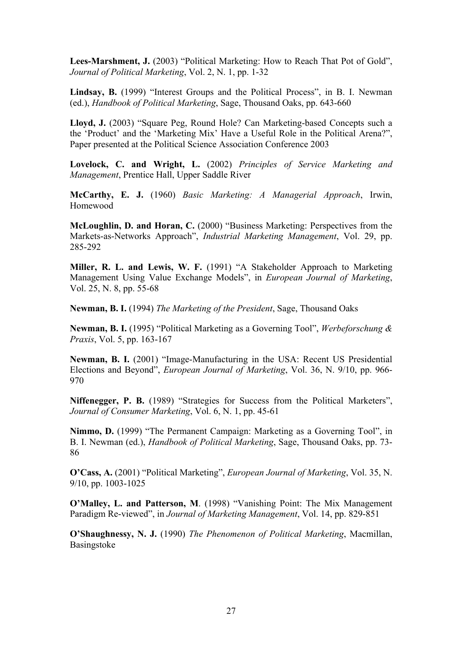Lees-Marshment, J. (2003) "Political Marketing: How to Reach That Pot of Gold", *Journal of Political Marketing*, Vol. 2, N. 1, pp. 1-32

**Lindsay, B.** (1999) "Interest Groups and the Political Process", in B. I. Newman (ed.), *Handbook of Political Marketing*, Sage, Thousand Oaks, pp. 643-660

**Lloyd, J.** (2003) "Square Peg, Round Hole? Can Marketing-based Concepts such a the 'Product' and the 'Marketing Mix' Have a Useful Role in the Political Arena?", Paper presented at the Political Science Association Conference 2003

**Lovelock, C. and Wright, L.** (2002) *Principles of Service Marketing and Management*, Prentice Hall, Upper Saddle River

**McCarthy, E. J.** (1960) *Basic Marketing: A Managerial Approach*, Irwin, Homewood

**McLoughlin, D. and Horan, C.** (2000) "Business Marketing: Perspectives from the Markets-as-Networks Approach", *Industrial Marketing Management*, Vol. 29, pp. 285-292

**Miller, R. L. and Lewis, W. F.** (1991) "A Stakeholder Approach to Marketing Management Using Value Exchange Models", in *European Journal of Marketing*, Vol. 25, N. 8, pp. 55-68

**Newman, B. I.** (1994) *The Marketing of the President*, Sage, Thousand Oaks

**Newman, B. I.** (1995) "Political Marketing as a Governing Tool", *Werbeforschung & Praxis*, Vol. 5, pp. 163-167

**Newman, B. I.** (2001) "Image-Manufacturing in the USA: Recent US Presidential Elections and Beyond", *European Journal of Marketing*, Vol. 36, N. 9/10, pp. 966- 970

**Niffenegger, P. B.** (1989) "Strategies for Success from the Political Marketers", *Journal of Consumer Marketing*, Vol. 6, N. 1, pp. 45-61

**Nimmo, D.** (1999) "The Permanent Campaign: Marketing as a Governing Tool", in B. I. Newman (ed.), *Handbook of Political Marketing*, Sage, Thousand Oaks, pp. 73- 86

**O'Cass, A.** (2001) "Political Marketing", *European Journal of Marketing*, Vol. 35, N. 9/10, pp. 1003-1025

**O'Malley, L. and Patterson, M**. (1998) "Vanishing Point: The Mix Management Paradigm Re-viewed", in *Journal of Marketing Management*, Vol. 14, pp. 829-851

**O'Shaughnessy, N. J.** (1990) *The Phenomenon of Political Marketing*, Macmillan, Basingstoke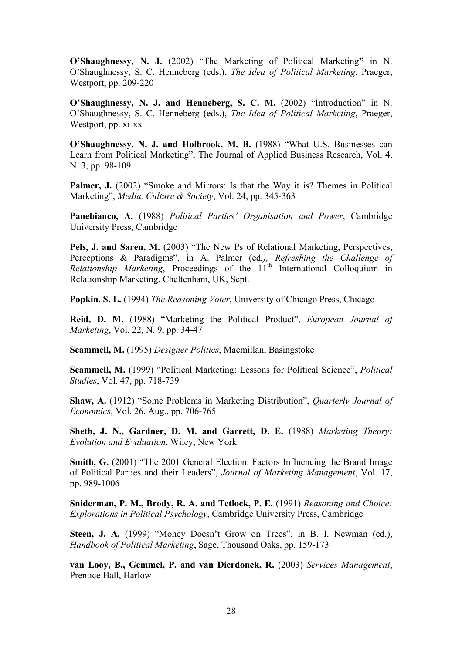**O'Shaughnessy, N. J.** (2002) "The Marketing of Political Marketing**"** in N. O'Shaughnessy, S. C. Henneberg (eds.), *The Idea of Political Marketing*, Praeger, Westport, pp. 209-220

**O'Shaughnessy, N. J. and Henneberg, S. C. M.** (2002) "Introduction" in N. O'Shaughnessy, S. C. Henneberg (eds.), *The Idea of Political Marketing*, Praeger, Westport, pp. xi-xx

**O'Shaughnessy, N. J. and Holbrook, M. B.** (1988) "What U.S. Businesses can Learn from Political Marketing", The Journal of Applied Business Research, Vol. 4, N. 3, pp. 98-109

**Palmer, J.** (2002) "Smoke and Mirrors: Is that the Way it is? Themes in Political Marketing", *Media, Culture & Society*, Vol. 24, pp. 345-363

**Panebianco, A.** (1988) *Political Parties' Organisation and Power*, Cambridge University Press, Cambridge

**Pels, J. and Saren, M.** (2003) "The New Ps of Relational Marketing, Perspectives, Perceptions & Paradigms", in A. Palmer (ed*.), Refreshing the Challenge of Relationship Marketing*, Proceedings of the 11<sup>th</sup> International Colloquium in Relationship Marketing, Cheltenham, UK, Sept.

**Popkin, S. L.** (1994) *The Reasoning Voter*, University of Chicago Press, Chicago

**Reid, D. M.** (1988) "Marketing the Political Product", *European Journal of Marketing*, Vol. 22, N. 9, pp. 34-47

**Scammell, M.** (1995) *Designer Politics*, Macmillan, Basingstoke

**Scammell, M.** (1999) "Political Marketing: Lessons for Political Science", *Political Studies*, Vol. 47, pp. 718-739

**Shaw, A.** (1912) "Some Problems in Marketing Distribution", *Quarterly Journal of Economics*, Vol. 26, Aug., pp. 706-765

**Sheth, J. N., Gardner, D. M. and Garrett, D. E.** (1988) *Marketing Theory: Evolution and Evaluation*, Wiley, New York

**Smith, G.** (2001) "The 2001 General Election: Factors Influencing the Brand Image of Political Parties and their Leaders", *Journal of Marketing Management*, Vol. 17, pp. 989-1006

**Sniderman, P. M., Brody, R. A. and Tetlock, P. E.** (1991) *Reasoning and Choice: Explorations in Political Psychology*, Cambridge University Press, Cambridge

Steen, J. A. (1999) "Money Doesn't Grow on Trees", in B. I. Newman (ed.), *Handbook of Political Marketing*, Sage, Thousand Oaks, pp. 159-173

**van Looy, B., Gemmel, P. and van Dierdonck, R.** (2003) *Services Management*, Prentice Hall, Harlow